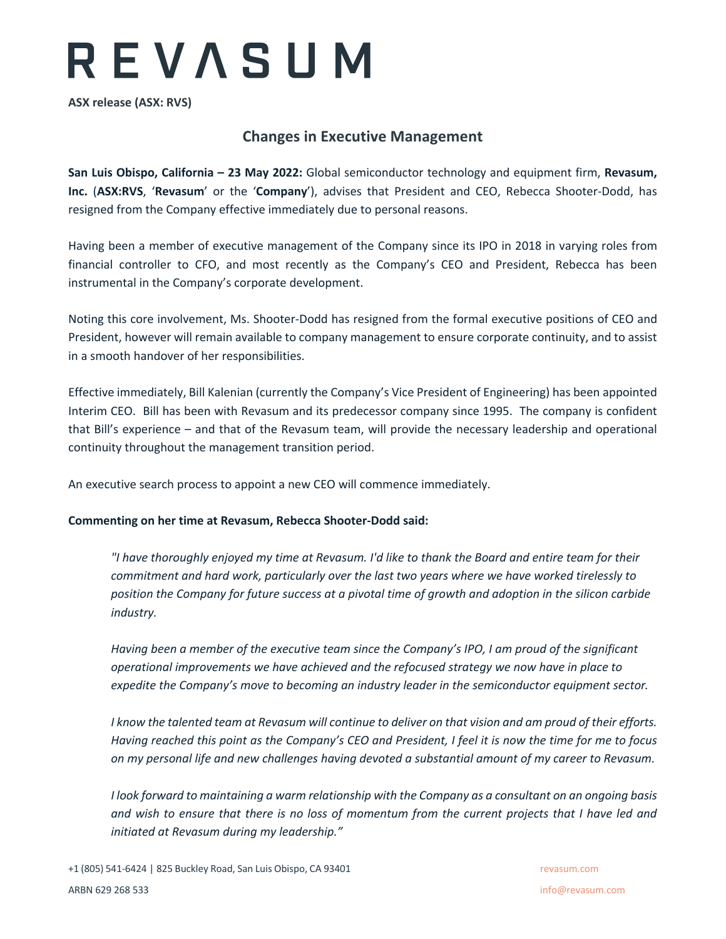# REVASUM

**ASX release (ASX: RVS)**

# **Changes in Executive Management**

**San Luis Obispo, California – 23 May 2022:** Global semiconductor technology and equipment firm, **Revasum, Inc.** (**ASX:RVS**, '**Revasum**' or the '**Company**'), advises that President and CEO, Rebecca Shooter-Dodd, has resigned from the Company effective immediately due to personal reasons.

Having been a member of executive management of the Company since its IPO in 2018 in varying roles from financial controller to CFO, and most recently as the Company's CEO and President, Rebecca has been instrumental in the Company's corporate development.

Noting this core involvement, Ms. Shooter-Dodd has resigned from the formal executive positions of CEO and President, however will remain available to company management to ensure corporate continuity, and to assist in a smooth handover of her responsibilities.

Effective immediately, Bill Kalenian (currently the Company's Vice President of Engineering) has been appointed Interim CEO. Bill has been with Revasum and its predecessor company since 1995. The company is confident that Bill's experience – and that of the Revasum team, will provide the necessary leadership and operational continuity throughout the management transition period.

An executive search process to appoint a new CEO will commence immediately.

### **Commenting on her time at Revasum, Rebecca Shooter-Dodd said:**

*"I have thoroughly enjoyed my time at Revasum. I'd like to thank the Board and entire team for their commitment and hard work, particularly over the last two years where we have worked tirelessly to position the Company for future success at a pivotal time of growth and adoption in the silicon carbide industry.* 

*Having been a member of the executive team since the Company's IPO, I am proud of the significant operational improvements we have achieved and the refocused strategy we now have in place to expedite the Company's move to becoming an industry leader in the semiconductor equipment sector.* 

*I know the talented team at Revasum will continue to deliver on that vision and am proud of their efforts. Having reached this point as the Company's CEO and President, I feel it is now the time for me to focus on my personal life and new challenges having devoted a substantial amount of my career to Revasum.*

*I look forward to maintaining a warm relationship with the Company as a consultant on an ongoing basis and wish to ensure that there is no loss of momentum from the current projects that I have led and initiated at Revasum during my leadership."*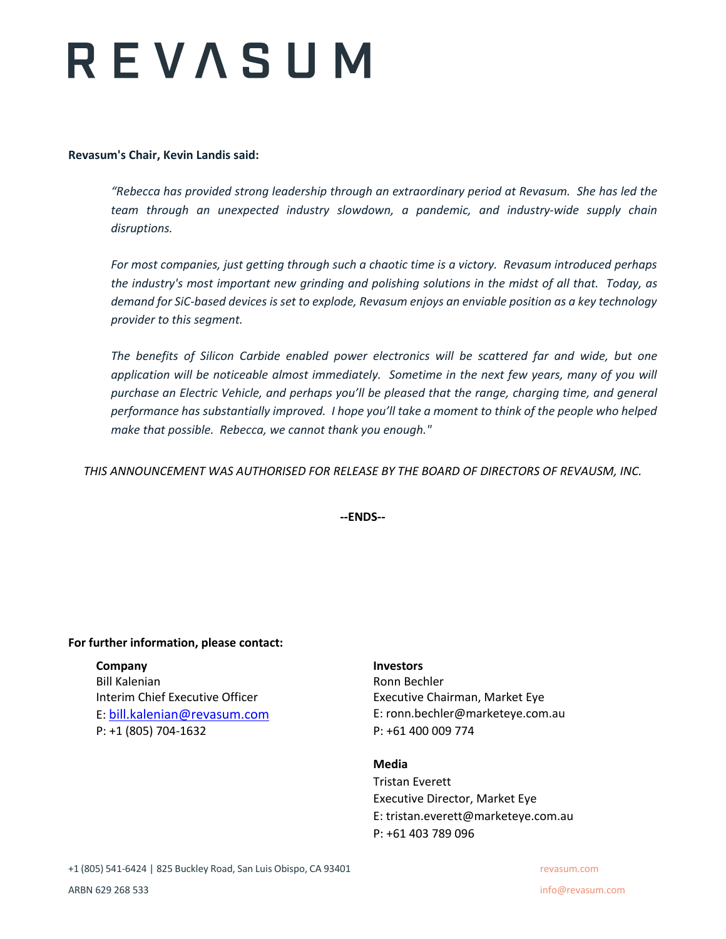# REVASUM

## **Revasum's Chair, Kevin Landis said:**

*"Rebecca has provided strong leadership through an extraordinary period at Revasum. She has led the team through an unexpected industry slowdown, a pandemic, and industry-wide supply chain disruptions.* 

*For most companies, just getting through such a chaotic time is a victory. Revasum introduced perhaps the industry's most important new grinding and polishing solutions in the midst of all that. Today, as demand for SiC-based devices is set to explode, Revasum enjoys an enviable position as a key technology provider to this segment.*

*The benefits of Silicon Carbide enabled power electronics will be scattered far and wide, but one*  application will be noticeable almost immediately. Sometime in the next few years, many of you will *purchase an Electric Vehicle, and perhaps you'll be pleased that the range, charging time, and general performance has substantially improved. I hope you'll take a moment to think of the people who helped make that possible. Rebecca, we cannot thank you enough."* 

*THIS ANNOUNCEMENT WAS AUTHORISED FOR RELEASE BY THE BOARD OF DIRECTORS OF REVAUSM, INC.*

**--ENDS--**

# **For further information, please contact:**

# **Company Investors**

Bill Kalenian **Ronn Bechler** Ronn Bechler Interim Chief Executive Officer **Executive Chairman, Market Eye** P: +1 (805) 704-1632 P: +61 400 009 774

E: bill.kalenian@revasum.com E: ronn.bechler@marketeye.com.au

### **Media**

Tristan Everett Executive Director, Market Eye E: tristan.everett@marketeye.com.au P: +61 403 789 096